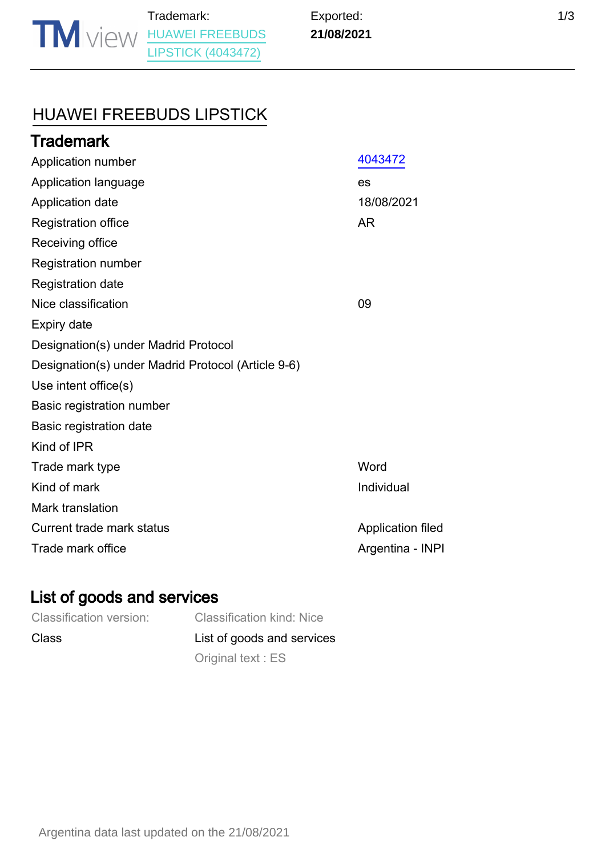Argentina data last updated on the 21/08/2021

# [HUAWEI FREEBUDS LIPSTICK](https://www.tmdn.org/tmview/#/tmview/detail/AR500000004043472)

| 4043472           |
|-------------------|
| es                |
| 18/08/2021        |
| <b>AR</b>         |
|                   |
|                   |
|                   |
| 09                |
|                   |
|                   |
|                   |
|                   |
|                   |
|                   |
|                   |
| Word              |
| Individual        |
|                   |
| Application filed |
| Argentina - INPI  |
|                   |

## List of goods and services

| <b>Classification version:</b> | <b>Classification kind: Nice</b> |
|--------------------------------|----------------------------------|
| Class                          | List of goods and services       |
|                                | Original text: ES                |

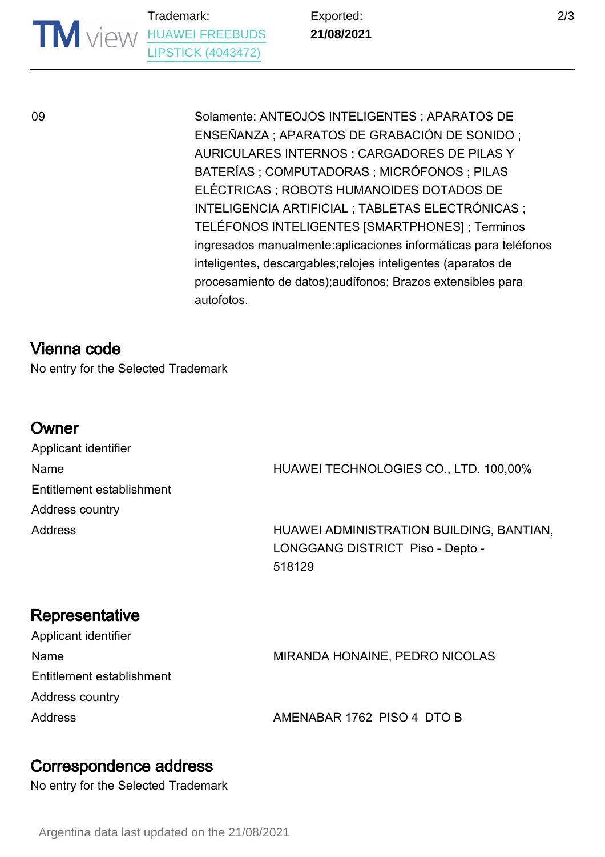Trademark: **TM** VIEW [HUAWEI FREEBUDS](https://www.tmdn.org/tmview/#/tmview/detail/AR500000004043472) [LIPSTICK \(4043472\)](https://www.tmdn.org/tmview/#/tmview/detail/AR500000004043472)

Exported: **21/08/2021**

09 Solamente: ANTEOJOS INTELIGENTES ; APARATOS DE ENSEÑANZA ; APARATOS DE GRABACIÓN DE SONIDO ; AURICULARES INTERNOS ; CARGADORES DE PILAS Y BATERÍAS ; COMPUTADORAS ; MICRÓFONOS ; PILAS ELÉCTRICAS ; ROBOTS HUMANOIDES DOTADOS DE INTELIGENCIA ARTIFICIAL ; TABLETAS ELECTRÓNICAS ; TELÉFONOS INTELIGENTES [SMARTPHONES] ; Terminos ingresados manualmente:aplicaciones informáticas para teléfonos inteligentes, descargables;relojes inteligentes (aparatos de procesamiento de datos);audífonos; Brazos extensibles para autofotos.

### Vienna code

No entry for the Selected Trademark

#### Owner

Applicant identifier Entitlement establishment Address country

Name **Name** HUAWEI TECHNOLOGIES CO., LTD. 100,00%

Address HUAWEI ADMINISTRATION BUILDING, BANTIAN, LONGGANG DISTRICT Piso - Depto - 518129

# **Representative**

| Applicant identifier      |                                |
|---------------------------|--------------------------------|
| Name                      | MIRANDA HONAINE, PEDRO NICOLAS |
| Entitlement establishment |                                |
| Address country           |                                |
| <b>Address</b>            | AMENABAR 1762 PISO 4 DTO B     |

### Correspondence address

No entry for the Selected Trademark